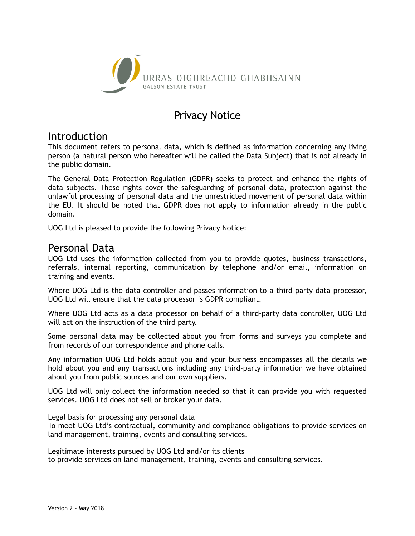

# Privacy Notice

## Introduction

This document refers to personal data, which is defined as information concerning any living person (a natural person who hereafter will be called the Data Subject) that is not already in the public domain.

The General Data Protection Regulation (GDPR) seeks to protect and enhance the rights of data subjects. These rights cover the safeguarding of personal data, protection against the unlawful processing of personal data and the unrestricted movement of personal data within the EU. It should be noted that GDPR does not apply to information already in the public domain.

UOG Ltd is pleased to provide the following Privacy Notice:

## Personal Data

UOG Ltd uses the information collected from you to provide quotes, business transactions, referrals, internal reporting, communication by telephone and/or email, information on training and events.

Where UOG Ltd is the data controller and passes information to a third-party data processor, UOG Ltd will ensure that the data processor is GDPR compliant.

Where UOG Ltd acts as a data processor on behalf of a third-party data controller, UOG Ltd will act on the instruction of the third party.

Some personal data may be collected about you from forms and surveys you complete and from records of our correspondence and phone calls.

Any information UOG Ltd holds about you and your business encompasses all the details we hold about you and any transactions including any third-party information we have obtained about you from public sources and our own suppliers.

UOG Ltd will only collect the information needed so that it can provide you with requested services. UOG Ltd does not sell or broker your data.

Legal basis for processing any personal data

To meet UOG Ltd's contractual, community and compliance obligations to provide services on land management, training, events and consulting services.

Legitimate interests pursued by UOG Ltd and/or its clients to provide services on land management, training, events and consulting services.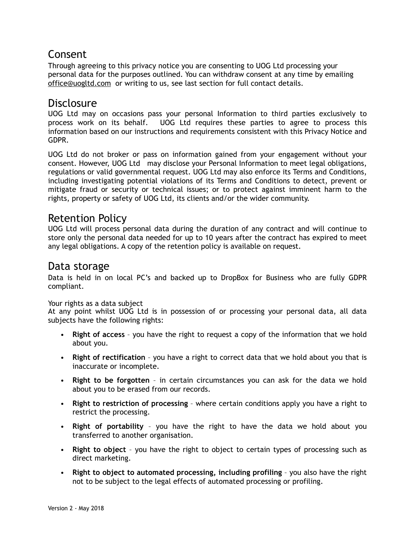# Consent

Through agreeing to this privacy notice you are consenting to UOG Ltd processing your personal data for the purposes outlined. You can withdraw consent at any time by emailing [office@uogltd.com](mailto:office@uogltd.com) or writing to us, see last section for full contact details.

## Disclosure

UOG Ltd may on occasions pass your personal Information to third parties exclusively to process work on its behalf. UOG Ltd requires these parties to agree to process this information based on our instructions and requirements consistent with this Privacy Notice and GDPR.

UOG Ltd do not broker or pass on information gained from your engagement without your consent. However, UOG Ltd may disclose your Personal Information to meet legal obligations, regulations or valid governmental request. UOG Ltd may also enforce its Terms and Conditions, including investigating potential violations of its Terms and Conditions to detect, prevent or mitigate fraud or security or technical issues; or to protect against imminent harm to the rights, property or safety of UOG Ltd, its clients and/or the wider community.

## Retention Policy

UOG Ltd will process personal data during the duration of any contract and will continue to store only the personal data needed for up to 10 years after the contract has expired to meet any legal obligations. A copy of the retention policy is available on request.

### Data storage

Data is held in on local PC's and backed up to DropBox for Business who are fully GDPR compliant.

Your rights as a data subject

At any point whilst UOG Ltd is in possession of or processing your personal data, all data subjects have the following rights:

- **Right of access** you have the right to request a copy of the information that we hold about you.
- **Right of rectification** you have a right to correct data that we hold about you that is inaccurate or incomplete.
- **Right to be forgotten** in certain circumstances you can ask for the data we hold about you to be erased from our records.
- **Right to restriction of processing** where certain conditions apply you have a right to restrict the processing.
- **Right of portability** you have the right to have the data we hold about you transferred to another organisation.
- **Right to object** you have the right to object to certain types of processing such as direct marketing.
- **Right to object to automated processing, including profiling** you also have the right not to be subject to the legal effects of automated processing or profiling.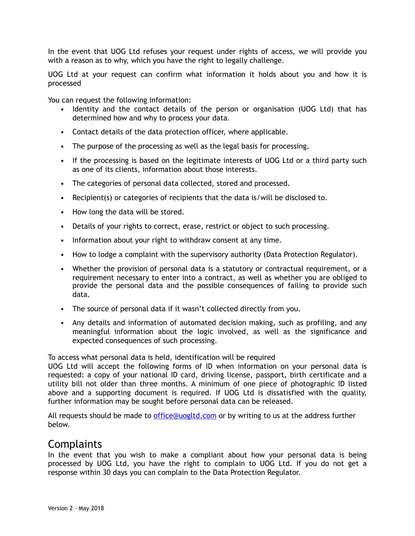In the event that UOG Ltd refuses your request under rights of access, we will provide you with a reason as to why, which you have the right to legally challenge.

UOG Ltd at your request can confirm what information it holds about you and how it is processed

You can request the following information:

- Identity and the contact details of the person or organisation (UOG Ltd) that has determined how and why to process your data.
- Contact details of the data protection officer, where applicable.
- The purpose of the processing as well as the legal basis for processing.
- If the processing is based on the legitimate interests of UOG Ltd or a third party such as one of its clients, information about those interests.
- The categories of personal data collected, stored and processed.
- Recipient(s) or categories of recipients that the data is/will be disclosed to.
- How long the data will be stored.
- Details of your rights to correct, erase, restrict or object to such processing.
- Information about your right to withdraw consent at any time.
- How to lodge a complaint with the supervisory authority (Data Protection Regulator).
- Whether the provision of personal data is a statutory or contractual requirement, or a requirement necessary to enter into a contract, as well as whether you are obliged to provide the personal data and the possible consequences of failing to provide such data.
- The source of personal data if it wasn't collected directly from you.
- Any details and information of automated decision making, such as profiling, and any meaningful information about the logic involved, as well as the significance and expected consequences of such processing.

To access what personal data is held, identification will be required

UOG Ltd will accept the following forms of ID when information on your personal data is requested: a copy of your national ID card, driving license, passport, birth certificate and a utility bill not older than three months. A minimum of one piece of photographic ID listed above and a supporting document is required. If UOG Ltd is dissatisfied with the quality, further information may be sought before personal data can be released.

All requests should be made to [office@uogltd.com](mailto:office@uogltd.com) or by writing to us at the address further below.

#### Complaints

In the event that you wish to make a compliant about how your personal data is being processed by UOG Ltd, you have the right to complain to UOG Ltd. If you do not get a response within 30 days you can complain to the Data Protection Regulator.